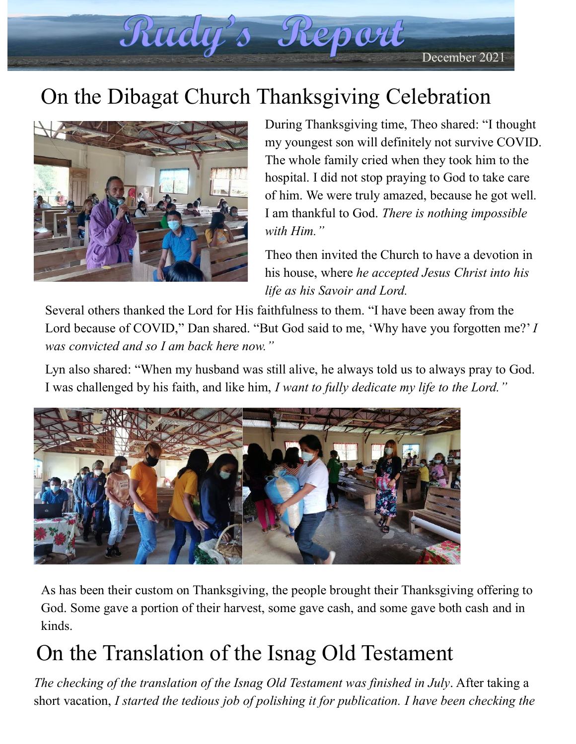December 2021

## On the Dibagat Church Thanksgiving Celebration

Rudy's Report



During Thanksgiving time, Theo shared: "I thought my youngest son will definitely not survive COVID. The whole family cried when they took him to the hospital. I did not stop praying to God to take care of him. We were truly amazed, because he got well. I am thankful to God. *There is nothing impossible with Him."* 

Theo then invited the Church to have a devotion in his house, where *he accepted Jesus Christ into his life as his Savoir and Lord.*

Several others thanked the Lord for His faithfulness to them. "I have been away from the Lord because of COVID," Dan shared. "But God said to me, 'Why have you forgotten me?' *I was convicted and so I am back here now."*

Lyn also shared: "When my husband was still alive, he always told us to always pray to God. I was challenged by his faith, and like him, *I want to fully dedicate my life to the Lord."*



As has been their custom on Thanksgiving, the people brought their Thanksgiving offering to God. Some gave a portion of their harvest, some gave cash, and some gave both cash and in kinds.

## On the Translation of the Isnag Old Testament

*The checking of the translation of the Isnag Old Testament was finished in July*. After taking a short vacation, *I started the tedious job of polishing it for publication. I have been checking the*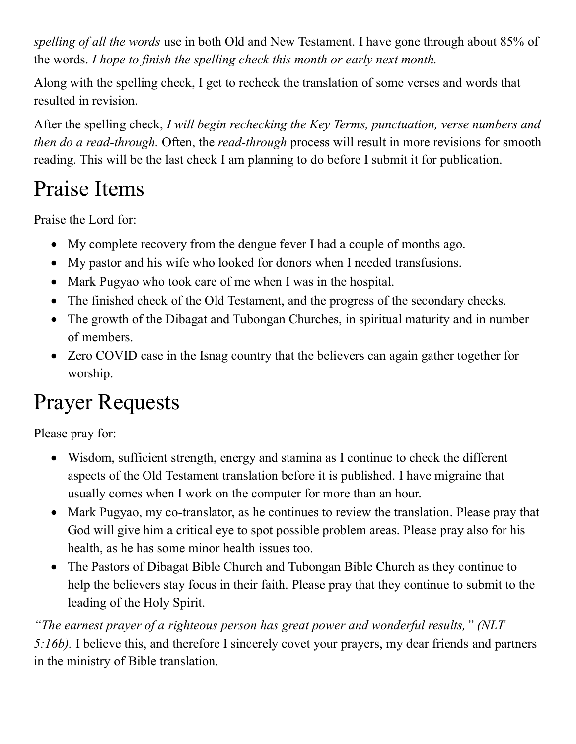*spelling of all the words* use in both Old and New Testament. I have gone through about 85% of the words. *I hope to finish the spelling check this month or early next month.*

Along with the spelling check, I get to recheck the translation of some verses and words that resulted in revision.

After the spelling check, *I will begin rechecking the Key Terms, punctuation, verse numbers and then do a read-through.* Often, the *read-through* process will result in more revisions for smooth reading. This will be the last check I am planning to do before I submit it for publication.

## Praise Items

Praise the Lord for:

- My complete recovery from the dengue fever I had a couple of months ago.
- My pastor and his wife who looked for donors when I needed transfusions.
- Mark Pugyao who took care of me when I was in the hospital.
- The finished check of the Old Testament, and the progress of the secondary checks.
- The growth of the Dibagat and Tubongan Churches, in spiritual maturity and in number of members.
- Zero COVID case in the Isnag country that the believers can again gather together for worship.

## Prayer Requests

Please pray for:

- Wisdom, sufficient strength, energy and stamina as I continue to check the different aspects of the Old Testament translation before it is published. I have migraine that usually comes when I work on the computer for more than an hour.
- Mark Pugyao, my co-translator, as he continues to review the translation. Please pray that God will give him a critical eye to spot possible problem areas. Please pray also for his health, as he has some minor health issues too.
- The Pastors of Dibagat Bible Church and Tubongan Bible Church as they continue to help the believers stay focus in their faith. Please pray that they continue to submit to the leading of the Holy Spirit.

*"The earnest prayer of a righteous person has great power and wonderful results," (NLT 5:16b).* I believe this, and therefore I sincerely covet your prayers, my dear friends and partners in the ministry of Bible translation.